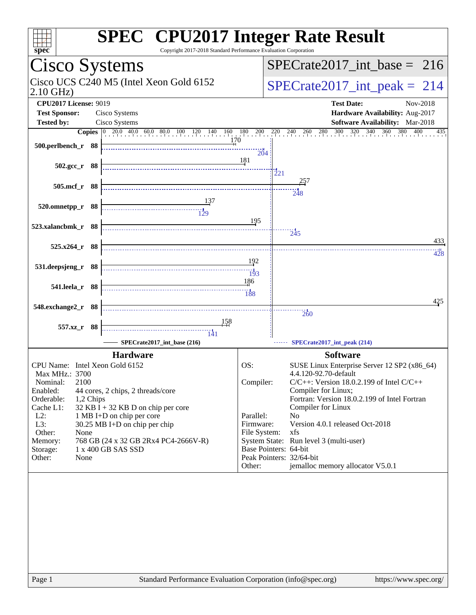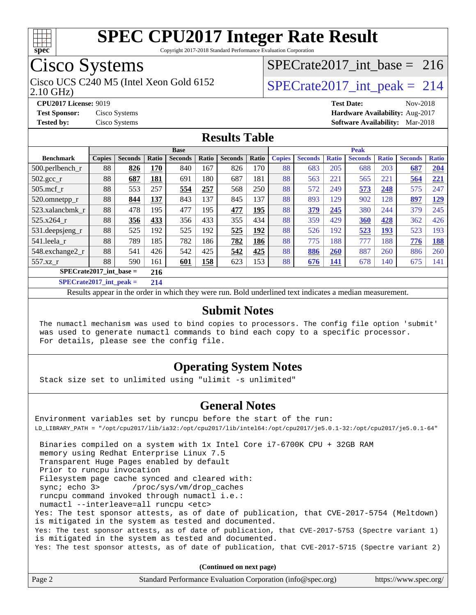

Copyright 2017-2018 Standard Performance Evaluation Corporation

# Cisco Systems

2.10 GHz) Cisco UCS C240 M5 (Intel Xeon Gold 6152  $\vert$  [SPECrate2017\\_int\\_peak =](http://www.spec.org/auto/cpu2017/Docs/result-fields.html#SPECrate2017intpeak) 214

### [SPECrate2017\\_int\\_base =](http://www.spec.org/auto/cpu2017/Docs/result-fields.html#SPECrate2017intbase) 216

**[CPU2017 License:](http://www.spec.org/auto/cpu2017/Docs/result-fields.html#CPU2017License)** 9019 **[Test Date:](http://www.spec.org/auto/cpu2017/Docs/result-fields.html#TestDate)** Nov-2018 **[Test Sponsor:](http://www.spec.org/auto/cpu2017/Docs/result-fields.html#TestSponsor)** Cisco Systems **[Hardware Availability:](http://www.spec.org/auto/cpu2017/Docs/result-fields.html#HardwareAvailability)** Aug-2017 **[Tested by:](http://www.spec.org/auto/cpu2017/Docs/result-fields.html#Testedby)** Cisco Systems **[Software Availability:](http://www.spec.org/auto/cpu2017/Docs/result-fields.html#SoftwareAvailability)** Mar-2018

#### **[Results Table](http://www.spec.org/auto/cpu2017/Docs/result-fields.html#ResultsTable)**

|                           | <b>Base</b>   |                |         |                | <b>Peak</b> |                |       |               |                |              |                |              |                |              |
|---------------------------|---------------|----------------|---------|----------------|-------------|----------------|-------|---------------|----------------|--------------|----------------|--------------|----------------|--------------|
| <b>Benchmark</b>          | <b>Copies</b> | <b>Seconds</b> | Ratio   | <b>Seconds</b> | Ratio       | <b>Seconds</b> | Ratio | <b>Copies</b> | <b>Seconds</b> | <b>Ratio</b> | <b>Seconds</b> | <b>Ratio</b> | <b>Seconds</b> | <b>Ratio</b> |
| $500.$ perlbench_r        | 88            | 826            | 170     | 840            | 167         | 826            | 170   | 88            | 683            | 205          | 688            | 203          | 687            | 204          |
| $502.\text{gcc\_r}$       | 88            | 687            | 181     | 691            | 180         | 687            | 181   | 88            | 563            | 221          | 565            | 221          | 564            | 221          |
| $505$ .mcf r              | 88            | 553            | 257     | 554            | 257         | 568            | 250   | 88            | 572            | 249          | 573            | 248          | 575            | 247          |
| 520.omnetpp_r             | 88            | 844            | 137     | 843            | 137         | 845            | 137   | 88            | 893            | 129          | 902            | 128          | 897            | <u> 129</u>  |
| 523.xalancbmk r           | 88            | 478            | 195     | 477            | 195         | 477            | 195   | 88            | 379            | 245          | 380            | 244          | 379            | 245          |
| 525.x264 r                | 88            | 356            | 433     | 356            | 433         | 355            | 434   | 88            | 359            | 429          | 360            | 428          | 362            | 426          |
| 531.deepsjeng_r           | 88            | 525            | 192     | 525            | 192         | 525            | 192   | 88            | 526            | 192          | 523            | <u> 193</u>  | 523            | 193          |
| 541.leela r               | 88            | 789            | 185     | 782            | 186         | 782            | 186   | 88            | 775            | 188          | 777            | 188          | 776            | <u>188</u>   |
| 548.exchange2_r           | 88            | 541            | 426     | 542            | 425         | 542            | 425   | 88            | 886            | 260          | 887            | 260          | 886            | 260          |
| 557.xz                    | 88            | 590            | 161     | 601            | 158         | 623            | 153   | 88            | 676            | 141          | 678            | 140          | 675            | 141          |
| $SPECrate2017$ int base = |               |                | 216     |                |             |                |       |               |                |              |                |              |                |              |
| $CDFAC = 1.2047 + 1.1$    |               |                | $A - A$ |                |             |                |       |               |                |              |                |              |                |              |

**[SPECrate2017\\_int\\_peak =](http://www.spec.org/auto/cpu2017/Docs/result-fields.html#SPECrate2017intpeak) 214**

Results appear in the [order in which they were run](http://www.spec.org/auto/cpu2017/Docs/result-fields.html#RunOrder). Bold underlined text [indicates a median measurement](http://www.spec.org/auto/cpu2017/Docs/result-fields.html#Median).

#### **[Submit Notes](http://www.spec.org/auto/cpu2017/Docs/result-fields.html#SubmitNotes)**

 The numactl mechanism was used to bind copies to processors. The config file option 'submit' was used to generate numactl commands to bind each copy to a specific processor. For details, please see the config file.

### **[Operating System Notes](http://www.spec.org/auto/cpu2017/Docs/result-fields.html#OperatingSystemNotes)**

Stack size set to unlimited using "ulimit -s unlimited"

#### **[General Notes](http://www.spec.org/auto/cpu2017/Docs/result-fields.html#GeneralNotes)**

Environment variables set by runcpu before the start of the run: LD\_LIBRARY\_PATH = "/opt/cpu2017/lib/ia32:/opt/cpu2017/lib/intel64:/opt/cpu2017/je5.0.1-32:/opt/cpu2017/je5.0.1-64" Binaries compiled on a system with 1x Intel Core i7-6700K CPU + 32GB RAM memory using Redhat Enterprise Linux 7.5 Transparent Huge Pages enabled by default Prior to runcpu invocation Filesystem page cache synced and cleared with: sync; echo 3> /proc/sys/vm/drop\_caches runcpu command invoked through numactl i.e.: numactl --interleave=all runcpu <etc> Yes: The test sponsor attests, as of date of publication, that CVE-2017-5754 (Meltdown) is mitigated in the system as tested and documented. Yes: The test sponsor attests, as of date of publication, that CVE-2017-5753 (Spectre variant 1) is mitigated in the system as tested and documented. Yes: The test sponsor attests, as of date of publication, that CVE-2017-5715 (Spectre variant 2) **(Continued on next page)**

Page 2 Standard Performance Evaluation Corporation [\(info@spec.org\)](mailto:info@spec.org) <https://www.spec.org/>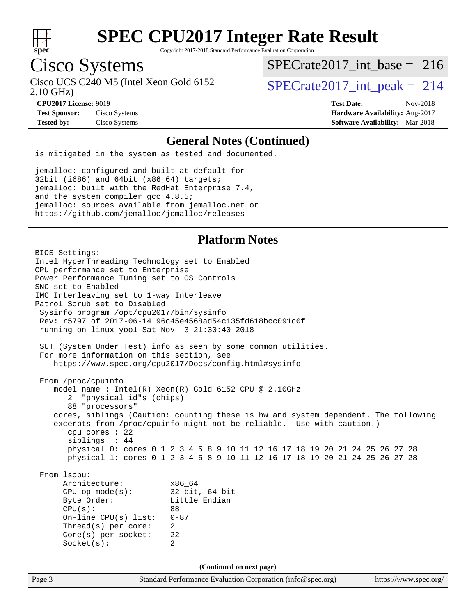

Copyright 2017-2018 Standard Performance Evaluation Corporation

## Cisco Systems

2.10 GHz) Cisco UCS C240 M5 (Intel Xeon Gold 6152  $\vert$  [SPECrate2017\\_int\\_peak =](http://www.spec.org/auto/cpu2017/Docs/result-fields.html#SPECrate2017intpeak) 214

[SPECrate2017\\_int\\_base =](http://www.spec.org/auto/cpu2017/Docs/result-fields.html#SPECrate2017intbase) 216

**[Test Sponsor:](http://www.spec.org/auto/cpu2017/Docs/result-fields.html#TestSponsor)** Cisco Systems **[Hardware Availability:](http://www.spec.org/auto/cpu2017/Docs/result-fields.html#HardwareAvailability)** Aug-2017

**[CPU2017 License:](http://www.spec.org/auto/cpu2017/Docs/result-fields.html#CPU2017License)** 9019 **[Test Date:](http://www.spec.org/auto/cpu2017/Docs/result-fields.html#TestDate)** Nov-2018 **[Tested by:](http://www.spec.org/auto/cpu2017/Docs/result-fields.html#Testedby)** Cisco Systems **[Software Availability:](http://www.spec.org/auto/cpu2017/Docs/result-fields.html#SoftwareAvailability)** Mar-2018

#### **[General Notes \(Continued\)](http://www.spec.org/auto/cpu2017/Docs/result-fields.html#GeneralNotes)**

is mitigated in the system as tested and documented.

jemalloc: configured and built at default for 32bit (i686) and 64bit (x86\_64) targets; jemalloc: built with the RedHat Enterprise 7.4, and the system compiler gcc 4.8.5; jemalloc: sources available from jemalloc.net or <https://github.com/jemalloc/jemalloc/releases>

### **[Platform Notes](http://www.spec.org/auto/cpu2017/Docs/result-fields.html#PlatformNotes)**

Page 3 Standard Performance Evaluation Corporation [\(info@spec.org\)](mailto:info@spec.org) <https://www.spec.org/> BIOS Settings: Intel HyperThreading Technology set to Enabled CPU performance set to Enterprise Power Performance Tuning set to OS Controls SNC set to Enabled IMC Interleaving set to 1-way Interleave Patrol Scrub set to Disabled Sysinfo program /opt/cpu2017/bin/sysinfo Rev: r5797 of 2017-06-14 96c45e4568ad54c135fd618bcc091c0f running on linux-yoo1 Sat Nov 3 21:30:40 2018 SUT (System Under Test) info as seen by some common utilities. For more information on this section, see <https://www.spec.org/cpu2017/Docs/config.html#sysinfo> From /proc/cpuinfo model name : Intel(R) Xeon(R) Gold 6152 CPU @ 2.10GHz 2 "physical id"s (chips) 88 "processors" cores, siblings (Caution: counting these is hw and system dependent. The following excerpts from /proc/cpuinfo might not be reliable. Use with caution.) cpu cores : 22 siblings : 44 physical 0: cores 0 1 2 3 4 5 8 9 10 11 12 16 17 18 19 20 21 24 25 26 27 28 physical 1: cores 0 1 2 3 4 5 8 9 10 11 12 16 17 18 19 20 21 24 25 26 27 28 From lscpu: Architecture: x86\_64 CPU op-mode(s): 32-bit, 64-bit<br>Byte Order: Little Endian Little Endian CPU(s): 88 On-line CPU(s) list: 0-87 Thread(s) per core: 2 Core(s) per socket: 22 Socket(s): 2 **(Continued on next page)**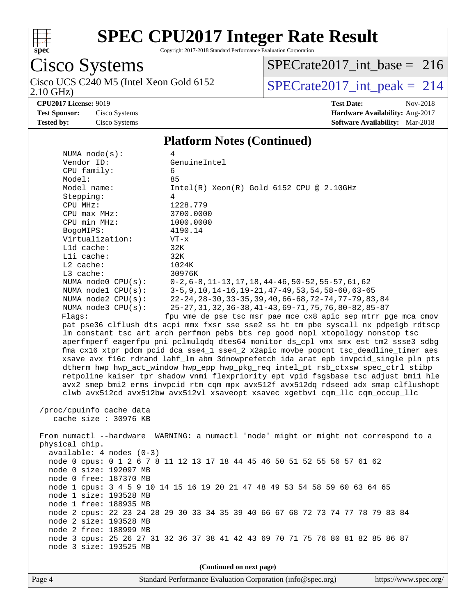

Copyright 2017-2018 Standard Performance Evaluation Corporation

# Cisco Systems<br>Cisco UCS C240 M5 (Intel Xeon Gold 6152 2.10 GHz)

[SPECrate2017\\_int\\_base =](http://www.spec.org/auto/cpu2017/Docs/result-fields.html#SPECrate2017intbase) 216

 $SPECrate2017\_int\_peak = 214$ 

**[CPU2017 License:](http://www.spec.org/auto/cpu2017/Docs/result-fields.html#CPU2017License)** 9019 **[Test Date:](http://www.spec.org/auto/cpu2017/Docs/result-fields.html#TestDate)** Nov-2018

**[Test Sponsor:](http://www.spec.org/auto/cpu2017/Docs/result-fields.html#TestSponsor)** Cisco Systems **[Hardware Availability:](http://www.spec.org/auto/cpu2017/Docs/result-fields.html#HardwareAvailability)** Aug-2017 **[Tested by:](http://www.spec.org/auto/cpu2017/Docs/result-fields.html#Testedby)** Cisco Systems **[Software Availability:](http://www.spec.org/auto/cpu2017/Docs/result-fields.html#SoftwareAvailability)** Mar-2018

#### **[Platform Notes \(Continued\)](http://www.spec.org/auto/cpu2017/Docs/result-fields.html#PlatformNotes)**

| NUMA $node(s):$<br>4                                                                 |                                                                                     |  |  |  |  |
|--------------------------------------------------------------------------------------|-------------------------------------------------------------------------------------|--|--|--|--|
| Vendor ID:                                                                           | GenuineIntel                                                                        |  |  |  |  |
| CPU family:                                                                          | 6                                                                                   |  |  |  |  |
| Model:                                                                               | 85                                                                                  |  |  |  |  |
| Model name:                                                                          | $Intel(R) Xeon(R) Gold 6152 CPU @ 2.10GHz$                                          |  |  |  |  |
| Stepping:                                                                            | 4                                                                                   |  |  |  |  |
| CPU MHz:                                                                             | 1228.779                                                                            |  |  |  |  |
| CPU max MHz:                                                                         | 3700.0000                                                                           |  |  |  |  |
| CPU min MHz:                                                                         | 1000.0000                                                                           |  |  |  |  |
| BogoMIPS:                                                                            | 4190.14                                                                             |  |  |  |  |
| Virtualization:                                                                      | $VT - x$                                                                            |  |  |  |  |
| L1d cache:                                                                           | 32K                                                                                 |  |  |  |  |
| Lli cache:                                                                           | 32K                                                                                 |  |  |  |  |
| $L2$ cache:                                                                          | 1024K                                                                               |  |  |  |  |
| L3 cache:                                                                            | 30976K                                                                              |  |  |  |  |
| NUMA $node0$ $CPU(s):$                                                               | $0-2, 6-8, 11-13, 17, 18, 44-46, 50-52, 55-57, 61, 62$                              |  |  |  |  |
| NUMA nodel $CPU(s):$                                                                 | $3-5, 9, 10, 14-16, 19-21, 47-49, 53, 54, 58-60, 63-65$                             |  |  |  |  |
| NUMA node2 CPU(s):                                                                   | 22-24, 28-30, 33-35, 39, 40, 66-68, 72-74, 77-79, 83, 84                            |  |  |  |  |
| NUMA node3 CPU(s):                                                                   | 25-27, 31, 32, 36-38, 41-43, 69-71, 75, 76, 80-82, 85-87                            |  |  |  |  |
| Flags:                                                                               | fpu vme de pse tsc msr pae mce cx8 apic sep mtrr pge mca cmov                       |  |  |  |  |
|                                                                                      | pat pse36 clflush dts acpi mmx fxsr sse sse2 ss ht tm pbe syscall nx pdpelgb rdtscp |  |  |  |  |
|                                                                                      | lm constant_tsc art arch_perfmon pebs bts rep_good nopl xtopology nonstop_tsc       |  |  |  |  |
|                                                                                      | aperfmperf eagerfpu pni pclmulqdq dtes64 monitor ds_cpl vmx smx est tm2 ssse3 sdbg  |  |  |  |  |
| fma cx16 xtpr pdcm pcid dca sse4_1 sse4_2 x2apic movbe popcnt tsc_deadline_timer aes |                                                                                     |  |  |  |  |
|                                                                                      | xsave avx f16c rdrand lahf_lm abm 3dnowprefetch ida arat epb invpcid_single pln pts |  |  |  |  |
|                                                                                      | dtherm hwp hwp_act_window hwp_epp hwp_pkg_req intel_pt rsb_ctxsw spec_ctrl stibp    |  |  |  |  |
|                                                                                      | retpoline kaiser tpr_shadow vnmi flexpriority ept vpid fsgsbase tsc_adjust bmil hle |  |  |  |  |
|                                                                                      | avx2 smep bmi2 erms invpcid rtm cqm mpx avx512f avx512dq rdseed adx smap clflushopt |  |  |  |  |
|                                                                                      | clwb avx512cd avx512bw avx512vl xsaveopt xsavec xgetbvl cqm_llc cqm_occup_llc       |  |  |  |  |
| /proc/cpuinfo cache data                                                             |                                                                                     |  |  |  |  |
| cache size : 30976 KB                                                                |                                                                                     |  |  |  |  |
|                                                                                      |                                                                                     |  |  |  |  |
| From numactl --hardware WARNING: a numactl 'node' might or might not correspond to a |                                                                                     |  |  |  |  |
| physical chip.                                                                       |                                                                                     |  |  |  |  |
| $available: 4 nodes (0-3)$                                                           |                                                                                     |  |  |  |  |
|                                                                                      | node 0 cpus: 0 1 2 6 7 8 11 12 13 17 18 44 45 46 50 51 52 55 56 57 61 62            |  |  |  |  |
| node 0 size: 192097 MB                                                               |                                                                                     |  |  |  |  |
| node 0 free: 187370 MB                                                               |                                                                                     |  |  |  |  |
| node 1 cpus: 3 4 5 9 10 14 15 16 19 20 21 47 48 49 53 54 58 59 60 63 64 65           |                                                                                     |  |  |  |  |
|                                                                                      | node 1 size: 193528 MB                                                              |  |  |  |  |
| node 1 free: 188935 MB                                                               |                                                                                     |  |  |  |  |
|                                                                                      | node 2 cpus: 22 23 24 28 29 30 33 34 35 39 40 66 67 68 72 73 74 77 78 79 83 84      |  |  |  |  |
| node 2 size: 193528 MB                                                               |                                                                                     |  |  |  |  |
| node 2 free: 188999 MB                                                               |                                                                                     |  |  |  |  |
|                                                                                      | node 3 cpus: 25 26 27 31 32 36 37 38 41 42 43 69 70 71 75 76 80 81 82 85 86 87      |  |  |  |  |
| node 3 size: 193525 MB                                                               |                                                                                     |  |  |  |  |
|                                                                                      |                                                                                     |  |  |  |  |
| (Continued on next page)                                                             |                                                                                     |  |  |  |  |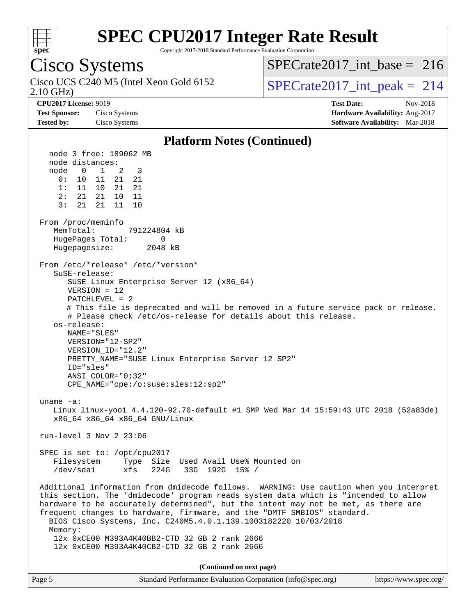

Copyright 2017-2018 Standard Performance Evaluation Corporation

### Cisco Systems

2.10 GHz) Cisco UCS C240 M5 (Intel Xeon Gold 6152  $\vert$  [SPECrate2017\\_int\\_peak =](http://www.spec.org/auto/cpu2017/Docs/result-fields.html#SPECrate2017intpeak) 214

[SPECrate2017\\_int\\_base =](http://www.spec.org/auto/cpu2017/Docs/result-fields.html#SPECrate2017intbase) 216

**[CPU2017 License:](http://www.spec.org/auto/cpu2017/Docs/result-fields.html#CPU2017License)** 9019 **[Test Date:](http://www.spec.org/auto/cpu2017/Docs/result-fields.html#TestDate)** Nov-2018 **[Test Sponsor:](http://www.spec.org/auto/cpu2017/Docs/result-fields.html#TestSponsor)** Cisco Systems **[Hardware Availability:](http://www.spec.org/auto/cpu2017/Docs/result-fields.html#HardwareAvailability)** Aug-2017 **[Tested by:](http://www.spec.org/auto/cpu2017/Docs/result-fields.html#Testedby)** Cisco Systems **[Software Availability:](http://www.spec.org/auto/cpu2017/Docs/result-fields.html#SoftwareAvailability)** Mar-2018

#### **[Platform Notes \(Continued\)](http://www.spec.org/auto/cpu2017/Docs/result-fields.html#PlatformNotes)**

 node 3 free: 189062 MB node distances: node 0 1 2 3 0: 10 11 21 21 1: 11 10 21 21 2: 21 21 10 11 3: 21 21 11 10 From /proc/meminfo MemTotal: 791224804 kB HugePages\_Total: 0 Hugepagesize: 2048 kB From /etc/\*release\* /etc/\*version\* SuSE-release: SUSE Linux Enterprise Server 12 (x86\_64) VERSION = 12 PATCHLEVEL = 2 # This file is deprecated and will be removed in a future service pack or release. # Please check /etc/os-release for details about this release. os-release: NAME="SLES" VERSION="12-SP2" VERSION\_ID="12.2" PRETTY\_NAME="SUSE Linux Enterprise Server 12 SP2" ID="sles" ANSI\_COLOR="0;32" CPE\_NAME="cpe:/o:suse:sles:12:sp2" uname -a: Linux linux-yoo1 4.4.120-92.70-default #1 SMP Wed Mar 14 15:59:43 UTC 2018 (52a83de) x86\_64 x86\_64 x86\_64 GNU/Linux run-level 3 Nov 2 23:06 SPEC is set to: /opt/cpu2017 Filesystem Type Size Used Avail Use% Mounted on /dev/sda1 xfs 224G 33G 192G 15% / Additional information from dmidecode follows. WARNING: Use caution when you interpret this section. The 'dmidecode' program reads system data which is "intended to allow hardware to be accurately determined", but the intent may not be met, as there are frequent changes to hardware, firmware, and the "DMTF SMBIOS" standard. BIOS Cisco Systems, Inc. C240M5.4.0.1.139.1003182220 10/03/2018 Memory: 12x 0xCE00 M393A4K40BB2-CTD 32 GB 2 rank 2666 12x 0xCE00 M393A4K40CB2-CTD 32 GB 2 rank 2666 **(Continued on next page)**

| Page 5 | Standard Performance Evaluation Corporation (info@spec.org) | https://www.spec.org/ |
|--------|-------------------------------------------------------------|-----------------------|
|--------|-------------------------------------------------------------|-----------------------|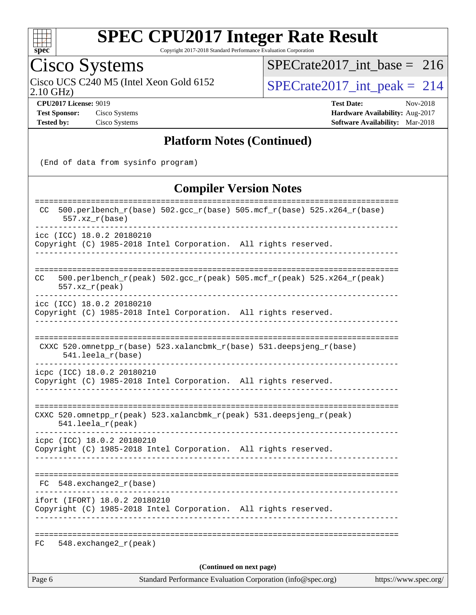

Copyright 2017-2018 Standard Performance Evaluation Corporation

Cisco Systems<br>Cisco UCS C240 M5 (Intel Xeon Gold 6152 2.10 GHz)

[SPECrate2017\\_int\\_base =](http://www.spec.org/auto/cpu2017/Docs/result-fields.html#SPECrate2017intbase) 216

 $SPECrate2017\_int\_peak = 214$ 

**[Test Sponsor:](http://www.spec.org/auto/cpu2017/Docs/result-fields.html#TestSponsor)** Cisco Systems **[Hardware Availability:](http://www.spec.org/auto/cpu2017/Docs/result-fields.html#HardwareAvailability)** Aug-2017

**[CPU2017 License:](http://www.spec.org/auto/cpu2017/Docs/result-fields.html#CPU2017License)** 9019 **[Test Date:](http://www.spec.org/auto/cpu2017/Docs/result-fields.html#TestDate)** Nov-2018 **[Tested by:](http://www.spec.org/auto/cpu2017/Docs/result-fields.html#Testedby)** Cisco Systems **[Software Availability:](http://www.spec.org/auto/cpu2017/Docs/result-fields.html#SoftwareAvailability)** Mar-2018

#### **[Platform Notes \(Continued\)](http://www.spec.org/auto/cpu2017/Docs/result-fields.html#PlatformNotes)**

(End of data from sysinfo program)

### **[Compiler Version Notes](http://www.spec.org/auto/cpu2017/Docs/result-fields.html#CompilerVersionNotes)**

| Standard Performance Evaluation Corporation (info@spec.org)<br>Page 6                                                              | https://www.spec.org/           |
|------------------------------------------------------------------------------------------------------------------------------------|---------------------------------|
| (Continued on next page)                                                                                                           |                                 |
| FC.<br>$548$ . exchange $2\degree$ r (peak)                                                                                        |                                 |
| Copyright (C) 1985-2018 Intel Corporation. All rights reserved.                                                                    |                                 |
| FC 548.exchange2_r(base)<br>.<br>ifort (IFORT) 18.0.2 20180210                                                                     |                                 |
|                                                                                                                                    |                                 |
| icpc (ICC) 18.0.2 20180210<br>Copyright (C) 1985-2018 Intel Corporation. All rights reserved.<br>_________________________________ |                                 |
| CXXC 520.omnetpp_r(peak) 523.xalancbmk_r(peak) 531.deepsjeng_r(peak)<br>541.leela_r(peak)                                          |                                 |
| icpc (ICC) 18.0.2 20180210<br>Copyright (C) 1985-2018 Intel Corporation. All rights reserved.                                      |                                 |
| CXXC 520.omnetpp_r(base) 523.xalancbmk_r(base) 531.deepsjeng_r(base)<br>$541.$ leela_r(base)                                       |                                 |
| icc (ICC) 18.0.2 20180210<br>Copyright (C) 1985-2018 Intel Corporation. All rights reserved.<br>----------------------             |                                 |
| 500.perlbench_r(peak) 502.gcc_r(peak) 505.mcf_r(peak) 525.x264_r(peak)<br>CC.<br>$557. xz_r (peak)$                                |                                 |
| icc (ICC) 18.0.2 20180210<br>Copyright (C) 1985-2018 Intel Corporation. All rights reserved.                                       |                                 |
| 500.perlbench_r(base) 502.gcc_r(base) 505.mcf_r(base) 525.x264_r(base)<br>CC.<br>$557. xz_r(base)$                                 | =============================== |
|                                                                                                                                    |                                 |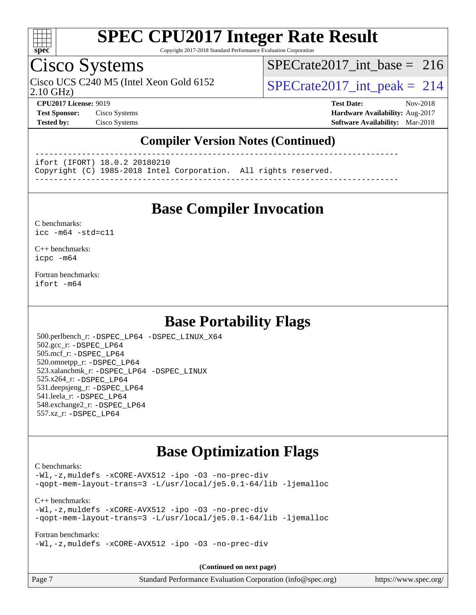

Copyright 2017-2018 Standard Performance Evaluation Corporation

### Cisco Systems

2.10 GHz) Cisco UCS C240 M5 (Intel Xeon Gold 6152  $\vert$ [SPECrate2017\\_int\\_peak =](http://www.spec.org/auto/cpu2017/Docs/result-fields.html#SPECrate2017intpeak) 214

[SPECrate2017\\_int\\_base =](http://www.spec.org/auto/cpu2017/Docs/result-fields.html#SPECrate2017intbase) 216

**[CPU2017 License:](http://www.spec.org/auto/cpu2017/Docs/result-fields.html#CPU2017License)** 9019 **[Test Date:](http://www.spec.org/auto/cpu2017/Docs/result-fields.html#TestDate)** Nov-2018 **[Test Sponsor:](http://www.spec.org/auto/cpu2017/Docs/result-fields.html#TestSponsor)** Cisco Systems **[Hardware Availability:](http://www.spec.org/auto/cpu2017/Docs/result-fields.html#HardwareAvailability)** Aug-2017 **[Tested by:](http://www.spec.org/auto/cpu2017/Docs/result-fields.html#Testedby)** Cisco Systems **[Software Availability:](http://www.spec.org/auto/cpu2017/Docs/result-fields.html#SoftwareAvailability)** Mar-2018

### **[Compiler Version Notes \(Continued\)](http://www.spec.org/auto/cpu2017/Docs/result-fields.html#CompilerVersionNotes)**

------------------------------------------------------------------------------

ifort (IFORT) 18.0.2 20180210

Copyright (C) 1985-2018 Intel Corporation. All rights reserved.

------------------------------------------------------------------------------

### **[Base Compiler Invocation](http://www.spec.org/auto/cpu2017/Docs/result-fields.html#BaseCompilerInvocation)**

#### [C benchmarks](http://www.spec.org/auto/cpu2017/Docs/result-fields.html#Cbenchmarks): [icc -m64 -std=c11](http://www.spec.org/cpu2017/results/res2018q4/cpu2017-20181113-09772.flags.html#user_CCbase_intel_icc_64bit_c11_33ee0cdaae7deeeab2a9725423ba97205ce30f63b9926c2519791662299b76a0318f32ddfffdc46587804de3178b4f9328c46fa7c2b0cd779d7a61945c91cd35)

[C++ benchmarks:](http://www.spec.org/auto/cpu2017/Docs/result-fields.html#CXXbenchmarks) [icpc -m64](http://www.spec.org/cpu2017/results/res2018q4/cpu2017-20181113-09772.flags.html#user_CXXbase_intel_icpc_64bit_4ecb2543ae3f1412ef961e0650ca070fec7b7afdcd6ed48761b84423119d1bf6bdf5cad15b44d48e7256388bc77273b966e5eb805aefd121eb22e9299b2ec9d9)

[Fortran benchmarks](http://www.spec.org/auto/cpu2017/Docs/result-fields.html#Fortranbenchmarks): [ifort -m64](http://www.spec.org/cpu2017/results/res2018q4/cpu2017-20181113-09772.flags.html#user_FCbase_intel_ifort_64bit_24f2bb282fbaeffd6157abe4f878425411749daecae9a33200eee2bee2fe76f3b89351d69a8130dd5949958ce389cf37ff59a95e7a40d588e8d3a57e0c3fd751)

### **[Base Portability Flags](http://www.spec.org/auto/cpu2017/Docs/result-fields.html#BasePortabilityFlags)**

 500.perlbench\_r: [-DSPEC\\_LP64](http://www.spec.org/cpu2017/results/res2018q4/cpu2017-20181113-09772.flags.html#b500.perlbench_r_basePORTABILITY_DSPEC_LP64) [-DSPEC\\_LINUX\\_X64](http://www.spec.org/cpu2017/results/res2018q4/cpu2017-20181113-09772.flags.html#b500.perlbench_r_baseCPORTABILITY_DSPEC_LINUX_X64) 502.gcc\_r: [-DSPEC\\_LP64](http://www.spec.org/cpu2017/results/res2018q4/cpu2017-20181113-09772.flags.html#suite_basePORTABILITY502_gcc_r_DSPEC_LP64) 505.mcf\_r: [-DSPEC\\_LP64](http://www.spec.org/cpu2017/results/res2018q4/cpu2017-20181113-09772.flags.html#suite_basePORTABILITY505_mcf_r_DSPEC_LP64) 520.omnetpp\_r: [-DSPEC\\_LP64](http://www.spec.org/cpu2017/results/res2018q4/cpu2017-20181113-09772.flags.html#suite_basePORTABILITY520_omnetpp_r_DSPEC_LP64) 523.xalancbmk\_r: [-DSPEC\\_LP64](http://www.spec.org/cpu2017/results/res2018q4/cpu2017-20181113-09772.flags.html#suite_basePORTABILITY523_xalancbmk_r_DSPEC_LP64) [-DSPEC\\_LINUX](http://www.spec.org/cpu2017/results/res2018q4/cpu2017-20181113-09772.flags.html#b523.xalancbmk_r_baseCXXPORTABILITY_DSPEC_LINUX) 525.x264\_r: [-DSPEC\\_LP64](http://www.spec.org/cpu2017/results/res2018q4/cpu2017-20181113-09772.flags.html#suite_basePORTABILITY525_x264_r_DSPEC_LP64) 531.deepsjeng\_r: [-DSPEC\\_LP64](http://www.spec.org/cpu2017/results/res2018q4/cpu2017-20181113-09772.flags.html#suite_basePORTABILITY531_deepsjeng_r_DSPEC_LP64) 541.leela\_r: [-DSPEC\\_LP64](http://www.spec.org/cpu2017/results/res2018q4/cpu2017-20181113-09772.flags.html#suite_basePORTABILITY541_leela_r_DSPEC_LP64) 548.exchange2\_r: [-DSPEC\\_LP64](http://www.spec.org/cpu2017/results/res2018q4/cpu2017-20181113-09772.flags.html#suite_basePORTABILITY548_exchange2_r_DSPEC_LP64) 557.xz\_r: [-DSPEC\\_LP64](http://www.spec.org/cpu2017/results/res2018q4/cpu2017-20181113-09772.flags.html#suite_basePORTABILITY557_xz_r_DSPEC_LP64)

### **[Base Optimization Flags](http://www.spec.org/auto/cpu2017/Docs/result-fields.html#BaseOptimizationFlags)**

#### [C benchmarks](http://www.spec.org/auto/cpu2017/Docs/result-fields.html#Cbenchmarks):

[-Wl,-z,muldefs](http://www.spec.org/cpu2017/results/res2018q4/cpu2017-20181113-09772.flags.html#user_CCbase_link_force_multiple1_b4cbdb97b34bdee9ceefcfe54f4c8ea74255f0b02a4b23e853cdb0e18eb4525ac79b5a88067c842dd0ee6996c24547a27a4b99331201badda8798ef8a743f577) [-xCORE-AVX512](http://www.spec.org/cpu2017/results/res2018q4/cpu2017-20181113-09772.flags.html#user_CCbase_f-xCORE-AVX512) [-ipo](http://www.spec.org/cpu2017/results/res2018q4/cpu2017-20181113-09772.flags.html#user_CCbase_f-ipo) [-O3](http://www.spec.org/cpu2017/results/res2018q4/cpu2017-20181113-09772.flags.html#user_CCbase_f-O3) [-no-prec-div](http://www.spec.org/cpu2017/results/res2018q4/cpu2017-20181113-09772.flags.html#user_CCbase_f-no-prec-div) [-qopt-mem-layout-trans=3](http://www.spec.org/cpu2017/results/res2018q4/cpu2017-20181113-09772.flags.html#user_CCbase_f-qopt-mem-layout-trans_de80db37974c74b1f0e20d883f0b675c88c3b01e9d123adea9b28688d64333345fb62bc4a798493513fdb68f60282f9a726aa07f478b2f7113531aecce732043) [-L/usr/local/je5.0.1-64/lib](http://www.spec.org/cpu2017/results/res2018q4/cpu2017-20181113-09772.flags.html#user_CCbase_jemalloc_link_path64_4b10a636b7bce113509b17f3bd0d6226c5fb2346b9178c2d0232c14f04ab830f976640479e5c33dc2bcbbdad86ecfb6634cbbd4418746f06f368b512fced5394) [-ljemalloc](http://www.spec.org/cpu2017/results/res2018q4/cpu2017-20181113-09772.flags.html#user_CCbase_jemalloc_link_lib_d1249b907c500fa1c0672f44f562e3d0f79738ae9e3c4a9c376d49f265a04b9c99b167ecedbf6711b3085be911c67ff61f150a17b3472be731631ba4d0471706)

[C++ benchmarks:](http://www.spec.org/auto/cpu2017/Docs/result-fields.html#CXXbenchmarks) [-Wl,-z,muldefs](http://www.spec.org/cpu2017/results/res2018q4/cpu2017-20181113-09772.flags.html#user_CXXbase_link_force_multiple1_b4cbdb97b34bdee9ceefcfe54f4c8ea74255f0b02a4b23e853cdb0e18eb4525ac79b5a88067c842dd0ee6996c24547a27a4b99331201badda8798ef8a743f577) [-xCORE-AVX512](http://www.spec.org/cpu2017/results/res2018q4/cpu2017-20181113-09772.flags.html#user_CXXbase_f-xCORE-AVX512) [-ipo](http://www.spec.org/cpu2017/results/res2018q4/cpu2017-20181113-09772.flags.html#user_CXXbase_f-ipo) [-O3](http://www.spec.org/cpu2017/results/res2018q4/cpu2017-20181113-09772.flags.html#user_CXXbase_f-O3) [-no-prec-div](http://www.spec.org/cpu2017/results/res2018q4/cpu2017-20181113-09772.flags.html#user_CXXbase_f-no-prec-div) [-qopt-mem-layout-trans=3](http://www.spec.org/cpu2017/results/res2018q4/cpu2017-20181113-09772.flags.html#user_CXXbase_f-qopt-mem-layout-trans_de80db37974c74b1f0e20d883f0b675c88c3b01e9d123adea9b28688d64333345fb62bc4a798493513fdb68f60282f9a726aa07f478b2f7113531aecce732043) [-L/usr/local/je5.0.1-64/lib](http://www.spec.org/cpu2017/results/res2018q4/cpu2017-20181113-09772.flags.html#user_CXXbase_jemalloc_link_path64_4b10a636b7bce113509b17f3bd0d6226c5fb2346b9178c2d0232c14f04ab830f976640479e5c33dc2bcbbdad86ecfb6634cbbd4418746f06f368b512fced5394) [-ljemalloc](http://www.spec.org/cpu2017/results/res2018q4/cpu2017-20181113-09772.flags.html#user_CXXbase_jemalloc_link_lib_d1249b907c500fa1c0672f44f562e3d0f79738ae9e3c4a9c376d49f265a04b9c99b167ecedbf6711b3085be911c67ff61f150a17b3472be731631ba4d0471706)

[Fortran benchmarks](http://www.spec.org/auto/cpu2017/Docs/result-fields.html#Fortranbenchmarks): [-Wl,-z,muldefs](http://www.spec.org/cpu2017/results/res2018q4/cpu2017-20181113-09772.flags.html#user_FCbase_link_force_multiple1_b4cbdb97b34bdee9ceefcfe54f4c8ea74255f0b02a4b23e853cdb0e18eb4525ac79b5a88067c842dd0ee6996c24547a27a4b99331201badda8798ef8a743f577) [-xCORE-AVX512](http://www.spec.org/cpu2017/results/res2018q4/cpu2017-20181113-09772.flags.html#user_FCbase_f-xCORE-AVX512) [-ipo](http://www.spec.org/cpu2017/results/res2018q4/cpu2017-20181113-09772.flags.html#user_FCbase_f-ipo) [-O3](http://www.spec.org/cpu2017/results/res2018q4/cpu2017-20181113-09772.flags.html#user_FCbase_f-O3) [-no-prec-div](http://www.spec.org/cpu2017/results/res2018q4/cpu2017-20181113-09772.flags.html#user_FCbase_f-no-prec-div)

**(Continued on next page)**

| Page | Standard Performance Evaluation Corporation (info@spec.org) | https://www.spec.org/ |
|------|-------------------------------------------------------------|-----------------------|
|------|-------------------------------------------------------------|-----------------------|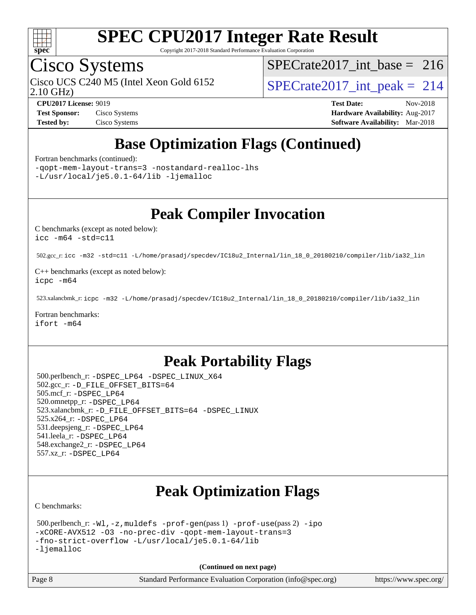

Copyright 2017-2018 Standard Performance Evaluation Corporation

### Cisco Systems

2.10 GHz)

[SPECrate2017\\_int\\_base =](http://www.spec.org/auto/cpu2017/Docs/result-fields.html#SPECrate2017intbase) 216

Cisco UCS C240 M5 (Intel Xeon Gold 6152  $\vert$  [SPECrate2017\\_int\\_peak =](http://www.spec.org/auto/cpu2017/Docs/result-fields.html#SPECrate2017intpeak) 214

**[Test Sponsor:](http://www.spec.org/auto/cpu2017/Docs/result-fields.html#TestSponsor)** Cisco Systems **Cisco Systems [Hardware Availability:](http://www.spec.org/auto/cpu2017/Docs/result-fields.html#HardwareAvailability)** Aug-2017 **[Tested by:](http://www.spec.org/auto/cpu2017/Docs/result-fields.html#Testedby)** Cisco Systems **[Software Availability:](http://www.spec.org/auto/cpu2017/Docs/result-fields.html#SoftwareAvailability)** Mar-2018

**[CPU2017 License:](http://www.spec.org/auto/cpu2017/Docs/result-fields.html#CPU2017License)** 9019 **[Test Date:](http://www.spec.org/auto/cpu2017/Docs/result-fields.html#TestDate)** Nov-2018

# **[Base Optimization Flags \(Continued\)](http://www.spec.org/auto/cpu2017/Docs/result-fields.html#BaseOptimizationFlags)**

[Fortran benchmarks](http://www.spec.org/auto/cpu2017/Docs/result-fields.html#Fortranbenchmarks) (continued):

[-qopt-mem-layout-trans=3](http://www.spec.org/cpu2017/results/res2018q4/cpu2017-20181113-09772.flags.html#user_FCbase_f-qopt-mem-layout-trans_de80db37974c74b1f0e20d883f0b675c88c3b01e9d123adea9b28688d64333345fb62bc4a798493513fdb68f60282f9a726aa07f478b2f7113531aecce732043) [-nostandard-realloc-lhs](http://www.spec.org/cpu2017/results/res2018q4/cpu2017-20181113-09772.flags.html#user_FCbase_f_2003_std_realloc_82b4557e90729c0f113870c07e44d33d6f5a304b4f63d4c15d2d0f1fab99f5daaed73bdb9275d9ae411527f28b936061aa8b9c8f2d63842963b95c9dd6426b8a) [-L/usr/local/je5.0.1-64/lib](http://www.spec.org/cpu2017/results/res2018q4/cpu2017-20181113-09772.flags.html#user_FCbase_jemalloc_link_path64_4b10a636b7bce113509b17f3bd0d6226c5fb2346b9178c2d0232c14f04ab830f976640479e5c33dc2bcbbdad86ecfb6634cbbd4418746f06f368b512fced5394) [-ljemalloc](http://www.spec.org/cpu2017/results/res2018q4/cpu2017-20181113-09772.flags.html#user_FCbase_jemalloc_link_lib_d1249b907c500fa1c0672f44f562e3d0f79738ae9e3c4a9c376d49f265a04b9c99b167ecedbf6711b3085be911c67ff61f150a17b3472be731631ba4d0471706)

**[Peak Compiler Invocation](http://www.spec.org/auto/cpu2017/Docs/result-fields.html#PeakCompilerInvocation)**

[C benchmarks \(except as noted below\)](http://www.spec.org/auto/cpu2017/Docs/result-fields.html#Cbenchmarksexceptasnotedbelow): [icc -m64 -std=c11](http://www.spec.org/cpu2017/results/res2018q4/cpu2017-20181113-09772.flags.html#user_CCpeak_intel_icc_64bit_c11_33ee0cdaae7deeeab2a9725423ba97205ce30f63b9926c2519791662299b76a0318f32ddfffdc46587804de3178b4f9328c46fa7c2b0cd779d7a61945c91cd35)

502.gcc\_r: [icc -m32 -std=c11 -L/home/prasadj/specdev/IC18u2\\_Internal/lin\\_18\\_0\\_20180210/compiler/lib/ia32\\_lin](http://www.spec.org/cpu2017/results/res2018q4/cpu2017-20181113-09772.flags.html#user_peakCCLD502_gcc_r_intel_icc_a481ac844e7127046fad14d498c730a1848fa901fbbb2c3dfdd5e9fbbac777c8009953946d55d8b6afe8ed0da70dd2b4f8dedbdf7ab1ee211ba70d24a5d89f85)

[C++ benchmarks \(except as noted below\):](http://www.spec.org/auto/cpu2017/Docs/result-fields.html#CXXbenchmarksexceptasnotedbelow) [icpc -m64](http://www.spec.org/cpu2017/results/res2018q4/cpu2017-20181113-09772.flags.html#user_CXXpeak_intel_icpc_64bit_4ecb2543ae3f1412ef961e0650ca070fec7b7afdcd6ed48761b84423119d1bf6bdf5cad15b44d48e7256388bc77273b966e5eb805aefd121eb22e9299b2ec9d9)

523.xalancbmk\_r: [icpc -m32 -L/home/prasadj/specdev/IC18u2\\_Internal/lin\\_18\\_0\\_20180210/compiler/lib/ia32\\_lin](http://www.spec.org/cpu2017/results/res2018q4/cpu2017-20181113-09772.flags.html#user_peakCXXLD523_xalancbmk_r_intel_icpc_c6d030cd79af6ea7d6fb64c57e8fe7ae8fe0b96fc5a3b3f4a10e3273b3d7fa9decd8263f6330cef23f751cb093a69fae84a2bf4c243500a8eed069248128076f)

[Fortran benchmarks](http://www.spec.org/auto/cpu2017/Docs/result-fields.html#Fortranbenchmarks): [ifort -m64](http://www.spec.org/cpu2017/results/res2018q4/cpu2017-20181113-09772.flags.html#user_FCpeak_intel_ifort_64bit_24f2bb282fbaeffd6157abe4f878425411749daecae9a33200eee2bee2fe76f3b89351d69a8130dd5949958ce389cf37ff59a95e7a40d588e8d3a57e0c3fd751)

### **[Peak Portability Flags](http://www.spec.org/auto/cpu2017/Docs/result-fields.html#PeakPortabilityFlags)**

 500.perlbench\_r: [-DSPEC\\_LP64](http://www.spec.org/cpu2017/results/res2018q4/cpu2017-20181113-09772.flags.html#b500.perlbench_r_peakPORTABILITY_DSPEC_LP64) [-DSPEC\\_LINUX\\_X64](http://www.spec.org/cpu2017/results/res2018q4/cpu2017-20181113-09772.flags.html#b500.perlbench_r_peakCPORTABILITY_DSPEC_LINUX_X64) 502.gcc\_r: [-D\\_FILE\\_OFFSET\\_BITS=64](http://www.spec.org/cpu2017/results/res2018q4/cpu2017-20181113-09772.flags.html#user_peakPORTABILITY502_gcc_r_file_offset_bits_64_5ae949a99b284ddf4e95728d47cb0843d81b2eb0e18bdfe74bbf0f61d0b064f4bda2f10ea5eb90e1dcab0e84dbc592acfc5018bc955c18609f94ddb8d550002c) 505.mcf\_r: [-DSPEC\\_LP64](http://www.spec.org/cpu2017/results/res2018q4/cpu2017-20181113-09772.flags.html#suite_peakPORTABILITY505_mcf_r_DSPEC_LP64) 520.omnetpp\_r: [-DSPEC\\_LP64](http://www.spec.org/cpu2017/results/res2018q4/cpu2017-20181113-09772.flags.html#suite_peakPORTABILITY520_omnetpp_r_DSPEC_LP64) 523.xalancbmk\_r: [-D\\_FILE\\_OFFSET\\_BITS=64](http://www.spec.org/cpu2017/results/res2018q4/cpu2017-20181113-09772.flags.html#user_peakPORTABILITY523_xalancbmk_r_file_offset_bits_64_5ae949a99b284ddf4e95728d47cb0843d81b2eb0e18bdfe74bbf0f61d0b064f4bda2f10ea5eb90e1dcab0e84dbc592acfc5018bc955c18609f94ddb8d550002c) [-DSPEC\\_LINUX](http://www.spec.org/cpu2017/results/res2018q4/cpu2017-20181113-09772.flags.html#b523.xalancbmk_r_peakCXXPORTABILITY_DSPEC_LINUX) 525.x264\_r: [-DSPEC\\_LP64](http://www.spec.org/cpu2017/results/res2018q4/cpu2017-20181113-09772.flags.html#suite_peakPORTABILITY525_x264_r_DSPEC_LP64) 531.deepsjeng\_r: [-DSPEC\\_LP64](http://www.spec.org/cpu2017/results/res2018q4/cpu2017-20181113-09772.flags.html#suite_peakPORTABILITY531_deepsjeng_r_DSPEC_LP64) 541.leela\_r: [-DSPEC\\_LP64](http://www.spec.org/cpu2017/results/res2018q4/cpu2017-20181113-09772.flags.html#suite_peakPORTABILITY541_leela_r_DSPEC_LP64) 548.exchange2\_r: [-DSPEC\\_LP64](http://www.spec.org/cpu2017/results/res2018q4/cpu2017-20181113-09772.flags.html#suite_peakPORTABILITY548_exchange2_r_DSPEC_LP64) 557.xz\_r: [-DSPEC\\_LP64](http://www.spec.org/cpu2017/results/res2018q4/cpu2017-20181113-09772.flags.html#suite_peakPORTABILITY557_xz_r_DSPEC_LP64)

### **[Peak Optimization Flags](http://www.spec.org/auto/cpu2017/Docs/result-fields.html#PeakOptimizationFlags)**

[C benchmarks](http://www.spec.org/auto/cpu2017/Docs/result-fields.html#Cbenchmarks):

```
 500.perlbench_r: -Wl,-z,muldefs -prof-gen(pass 1) -prof-use(pass 2) -ipo
-xCORE-AVX512 -O3 -no-prec-div -qopt-mem-layout-trans=3
-fno-strict-overflow -L/usr/local/je5.0.1-64/lib
-ljemalloc
```
**(Continued on next page)**

|  | Page 8 | Standard Performance Evaluation Corporation (info@spec.org) |  |  |
|--|--------|-------------------------------------------------------------|--|--|
|--|--------|-------------------------------------------------------------|--|--|

tps://www.spec.org/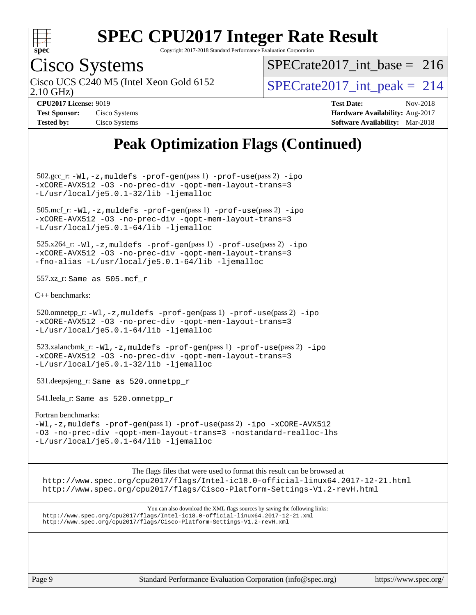

Copyright 2017-2018 Standard Performance Evaluation Corporation

# Cisco Systems

2.10 GHz) Cisco UCS C240 M5 (Intel Xeon Gold 6152  $\vert$  [SPECrate2017\\_int\\_peak =](http://www.spec.org/auto/cpu2017/Docs/result-fields.html#SPECrate2017intpeak) 214

[SPECrate2017\\_int\\_base =](http://www.spec.org/auto/cpu2017/Docs/result-fields.html#SPECrate2017intbase) 216

| <b>Test Sponsor:</b> | Cisco Systems |
|----------------------|---------------|
| <b>Tested by:</b>    | Cisco Systems |

**[CPU2017 License:](http://www.spec.org/auto/cpu2017/Docs/result-fields.html#CPU2017License)** 9019 **[Test Date:](http://www.spec.org/auto/cpu2017/Docs/result-fields.html#TestDate)** Nov-2018 **[Hardware Availability:](http://www.spec.org/auto/cpu2017/Docs/result-fields.html#HardwareAvailability)** Aug-2017 **[Software Availability:](http://www.spec.org/auto/cpu2017/Docs/result-fields.html#SoftwareAvailability)** Mar-2018

### **[Peak Optimization Flags \(Continued\)](http://www.spec.org/auto/cpu2017/Docs/result-fields.html#PeakOptimizationFlags)**

 502.gcc\_r: [-Wl,-z,muldefs](http://www.spec.org/cpu2017/results/res2018q4/cpu2017-20181113-09772.flags.html#user_peakEXTRA_LDFLAGS502_gcc_r_link_force_multiple1_b4cbdb97b34bdee9ceefcfe54f4c8ea74255f0b02a4b23e853cdb0e18eb4525ac79b5a88067c842dd0ee6996c24547a27a4b99331201badda8798ef8a743f577) [-prof-gen](http://www.spec.org/cpu2017/results/res2018q4/cpu2017-20181113-09772.flags.html#user_peakPASS1_CFLAGSPASS1_LDFLAGS502_gcc_r_prof_gen_5aa4926d6013ddb2a31985c654b3eb18169fc0c6952a63635c234f711e6e63dd76e94ad52365559451ec499a2cdb89e4dc58ba4c67ef54ca681ffbe1461d6b36)(pass 1) [-prof-use](http://www.spec.org/cpu2017/results/res2018q4/cpu2017-20181113-09772.flags.html#user_peakPASS2_CFLAGSPASS2_LDFLAGS502_gcc_r_prof_use_1a21ceae95f36a2b53c25747139a6c16ca95bd9def2a207b4f0849963b97e94f5260e30a0c64f4bb623698870e679ca08317ef8150905d41bd88c6f78df73f19)(pass 2) [-ipo](http://www.spec.org/cpu2017/results/res2018q4/cpu2017-20181113-09772.flags.html#user_peakPASS1_COPTIMIZEPASS2_COPTIMIZE502_gcc_r_f-ipo) [-xCORE-AVX512](http://www.spec.org/cpu2017/results/res2018q4/cpu2017-20181113-09772.flags.html#user_peakPASS2_COPTIMIZE502_gcc_r_f-xCORE-AVX512) [-O3](http://www.spec.org/cpu2017/results/res2018q4/cpu2017-20181113-09772.flags.html#user_peakPASS1_COPTIMIZEPASS2_COPTIMIZE502_gcc_r_f-O3) [-no-prec-div](http://www.spec.org/cpu2017/results/res2018q4/cpu2017-20181113-09772.flags.html#user_peakPASS1_COPTIMIZEPASS2_COPTIMIZE502_gcc_r_f-no-prec-div) [-qopt-mem-layout-trans=3](http://www.spec.org/cpu2017/results/res2018q4/cpu2017-20181113-09772.flags.html#user_peakPASS1_COPTIMIZEPASS2_COPTIMIZE502_gcc_r_f-qopt-mem-layout-trans_de80db37974c74b1f0e20d883f0b675c88c3b01e9d123adea9b28688d64333345fb62bc4a798493513fdb68f60282f9a726aa07f478b2f7113531aecce732043) [-L/usr/local/je5.0.1-32/lib](http://www.spec.org/cpu2017/results/res2018q4/cpu2017-20181113-09772.flags.html#user_peakEXTRA_LIBS502_gcc_r_jemalloc_link_path32_e29f22e8e6c17053bbc6a0971f5a9c01a601a06bb1a59df2084b77a2fe0a2995b64fd4256feaeea39eeba3aae142e96e2b2b0a28974019c0c0c88139a84f900a) [-ljemalloc](http://www.spec.org/cpu2017/results/res2018q4/cpu2017-20181113-09772.flags.html#user_peakEXTRA_LIBS502_gcc_r_jemalloc_link_lib_d1249b907c500fa1c0672f44f562e3d0f79738ae9e3c4a9c376d49f265a04b9c99b167ecedbf6711b3085be911c67ff61f150a17b3472be731631ba4d0471706)

 505.mcf\_r: [-Wl,-z,muldefs](http://www.spec.org/cpu2017/results/res2018q4/cpu2017-20181113-09772.flags.html#user_peakEXTRA_LDFLAGS505_mcf_r_link_force_multiple1_b4cbdb97b34bdee9ceefcfe54f4c8ea74255f0b02a4b23e853cdb0e18eb4525ac79b5a88067c842dd0ee6996c24547a27a4b99331201badda8798ef8a743f577) [-prof-gen](http://www.spec.org/cpu2017/results/res2018q4/cpu2017-20181113-09772.flags.html#user_peakPASS1_CFLAGSPASS1_LDFLAGS505_mcf_r_prof_gen_5aa4926d6013ddb2a31985c654b3eb18169fc0c6952a63635c234f711e6e63dd76e94ad52365559451ec499a2cdb89e4dc58ba4c67ef54ca681ffbe1461d6b36)(pass 1) [-prof-use](http://www.spec.org/cpu2017/results/res2018q4/cpu2017-20181113-09772.flags.html#user_peakPASS2_CFLAGSPASS2_LDFLAGS505_mcf_r_prof_use_1a21ceae95f36a2b53c25747139a6c16ca95bd9def2a207b4f0849963b97e94f5260e30a0c64f4bb623698870e679ca08317ef8150905d41bd88c6f78df73f19)(pass 2) [-ipo](http://www.spec.org/cpu2017/results/res2018q4/cpu2017-20181113-09772.flags.html#user_peakPASS1_COPTIMIZEPASS2_COPTIMIZE505_mcf_r_f-ipo) [-xCORE-AVX512](http://www.spec.org/cpu2017/results/res2018q4/cpu2017-20181113-09772.flags.html#user_peakPASS2_COPTIMIZE505_mcf_r_f-xCORE-AVX512) [-O3](http://www.spec.org/cpu2017/results/res2018q4/cpu2017-20181113-09772.flags.html#user_peakPASS1_COPTIMIZEPASS2_COPTIMIZE505_mcf_r_f-O3) [-no-prec-div](http://www.spec.org/cpu2017/results/res2018q4/cpu2017-20181113-09772.flags.html#user_peakPASS1_COPTIMIZEPASS2_COPTIMIZE505_mcf_r_f-no-prec-div) [-qopt-mem-layout-trans=3](http://www.spec.org/cpu2017/results/res2018q4/cpu2017-20181113-09772.flags.html#user_peakPASS1_COPTIMIZEPASS2_COPTIMIZE505_mcf_r_f-qopt-mem-layout-trans_de80db37974c74b1f0e20d883f0b675c88c3b01e9d123adea9b28688d64333345fb62bc4a798493513fdb68f60282f9a726aa07f478b2f7113531aecce732043) [-L/usr/local/je5.0.1-64/lib](http://www.spec.org/cpu2017/results/res2018q4/cpu2017-20181113-09772.flags.html#user_peakEXTRA_LIBS505_mcf_r_jemalloc_link_path64_4b10a636b7bce113509b17f3bd0d6226c5fb2346b9178c2d0232c14f04ab830f976640479e5c33dc2bcbbdad86ecfb6634cbbd4418746f06f368b512fced5394) [-ljemalloc](http://www.spec.org/cpu2017/results/res2018q4/cpu2017-20181113-09772.flags.html#user_peakEXTRA_LIBS505_mcf_r_jemalloc_link_lib_d1249b907c500fa1c0672f44f562e3d0f79738ae9e3c4a9c376d49f265a04b9c99b167ecedbf6711b3085be911c67ff61f150a17b3472be731631ba4d0471706)

 $525.x264_r: -Wl, -z$ , muldefs  $-prof-gen(pass 1)$  $-prof-gen(pass 1)$  [-prof-use](http://www.spec.org/cpu2017/results/res2018q4/cpu2017-20181113-09772.flags.html#user_peakPASS2_CFLAGSPASS2_LDFLAGS525_x264_r_prof_use_1a21ceae95f36a2b53c25747139a6c16ca95bd9def2a207b4f0849963b97e94f5260e30a0c64f4bb623698870e679ca08317ef8150905d41bd88c6f78df73f19)(pass 2) [-ipo](http://www.spec.org/cpu2017/results/res2018q4/cpu2017-20181113-09772.flags.html#user_peakPASS1_COPTIMIZEPASS2_COPTIMIZE525_x264_r_f-ipo) [-xCORE-AVX512](http://www.spec.org/cpu2017/results/res2018q4/cpu2017-20181113-09772.flags.html#user_peakPASS2_COPTIMIZE525_x264_r_f-xCORE-AVX512) [-O3](http://www.spec.org/cpu2017/results/res2018q4/cpu2017-20181113-09772.flags.html#user_peakPASS1_COPTIMIZEPASS2_COPTIMIZE525_x264_r_f-O3) [-no-prec-div](http://www.spec.org/cpu2017/results/res2018q4/cpu2017-20181113-09772.flags.html#user_peakPASS1_COPTIMIZEPASS2_COPTIMIZE525_x264_r_f-no-prec-div) [-qopt-mem-layout-trans=3](http://www.spec.org/cpu2017/results/res2018q4/cpu2017-20181113-09772.flags.html#user_peakPASS1_COPTIMIZEPASS2_COPTIMIZE525_x264_r_f-qopt-mem-layout-trans_de80db37974c74b1f0e20d883f0b675c88c3b01e9d123adea9b28688d64333345fb62bc4a798493513fdb68f60282f9a726aa07f478b2f7113531aecce732043) [-fno-alias](http://www.spec.org/cpu2017/results/res2018q4/cpu2017-20181113-09772.flags.html#user_peakEXTRA_OPTIMIZE525_x264_r_f-no-alias_77dbac10d91cbfe898fbf4a29d1b29b694089caa623bdd1baccc9957d4edbe8d106c0b357e2748a65b44fc9e83d78098bb898077f3fe92f9faf24f7bd4a07ed7) [-L/usr/local/je5.0.1-64/lib](http://www.spec.org/cpu2017/results/res2018q4/cpu2017-20181113-09772.flags.html#user_peakEXTRA_LIBS525_x264_r_jemalloc_link_path64_4b10a636b7bce113509b17f3bd0d6226c5fb2346b9178c2d0232c14f04ab830f976640479e5c33dc2bcbbdad86ecfb6634cbbd4418746f06f368b512fced5394) [-ljemalloc](http://www.spec.org/cpu2017/results/res2018q4/cpu2017-20181113-09772.flags.html#user_peakEXTRA_LIBS525_x264_r_jemalloc_link_lib_d1249b907c500fa1c0672f44f562e3d0f79738ae9e3c4a9c376d49f265a04b9c99b167ecedbf6711b3085be911c67ff61f150a17b3472be731631ba4d0471706)

557.xz\_r: Same as 505.mcf\_r

[C++ benchmarks:](http://www.spec.org/auto/cpu2017/Docs/result-fields.html#CXXbenchmarks)

520.omnetpp\_r:  $-W1$ ,  $-z$ , muldefs  $-prof$  -qen(pass 1)  $-prof$  -use(pass 2) [-ipo](http://www.spec.org/cpu2017/results/res2018q4/cpu2017-20181113-09772.flags.html#user_peakPASS1_CXXOPTIMIZEPASS2_CXXOPTIMIZE520_omnetpp_r_f-ipo) [-xCORE-AVX512](http://www.spec.org/cpu2017/results/res2018q4/cpu2017-20181113-09772.flags.html#user_peakPASS2_CXXOPTIMIZE520_omnetpp_r_f-xCORE-AVX512) [-O3](http://www.spec.org/cpu2017/results/res2018q4/cpu2017-20181113-09772.flags.html#user_peakPASS1_CXXOPTIMIZEPASS2_CXXOPTIMIZE520_omnetpp_r_f-O3) [-no-prec-div](http://www.spec.org/cpu2017/results/res2018q4/cpu2017-20181113-09772.flags.html#user_peakPASS1_CXXOPTIMIZEPASS2_CXXOPTIMIZE520_omnetpp_r_f-no-prec-div) [-qopt-mem-layout-trans=3](http://www.spec.org/cpu2017/results/res2018q4/cpu2017-20181113-09772.flags.html#user_peakPASS1_CXXOPTIMIZEPASS2_CXXOPTIMIZE520_omnetpp_r_f-qopt-mem-layout-trans_de80db37974c74b1f0e20d883f0b675c88c3b01e9d123adea9b28688d64333345fb62bc4a798493513fdb68f60282f9a726aa07f478b2f7113531aecce732043) [-L/usr/local/je5.0.1-64/lib](http://www.spec.org/cpu2017/results/res2018q4/cpu2017-20181113-09772.flags.html#user_peakEXTRA_LIBS520_omnetpp_r_jemalloc_link_path64_4b10a636b7bce113509b17f3bd0d6226c5fb2346b9178c2d0232c14f04ab830f976640479e5c33dc2bcbbdad86ecfb6634cbbd4418746f06f368b512fced5394) [-ljemalloc](http://www.spec.org/cpu2017/results/res2018q4/cpu2017-20181113-09772.flags.html#user_peakEXTRA_LIBS520_omnetpp_r_jemalloc_link_lib_d1249b907c500fa1c0672f44f562e3d0f79738ae9e3c4a9c376d49f265a04b9c99b167ecedbf6711b3085be911c67ff61f150a17b3472be731631ba4d0471706)

 $523.xalancbmk_r: -Wl, -z, muldefs -prof-gen(pass 1) -prof-use(pass 2) -ipo$  $523.xalancbmk_r: -Wl, -z, muldefs -prof-gen(pass 1) -prof-use(pass 2) -ipo$  $523.xalancbmk_r: -Wl, -z, muldefs -prof-gen(pass 1) -prof-use(pass 2) -ipo$  $523.xalancbmk_r: -Wl, -z, muldefs -prof-gen(pass 1) -prof-use(pass 2) -ipo$  $523.xalancbmk_r: -Wl, -z, muldefs -prof-gen(pass 1) -prof-use(pass 2) -ipo$  $523.xalancbmk_r: -Wl, -z, muldefs -prof-gen(pass 1) -prof-use(pass 2) -ipo$ [-xCORE-AVX512](http://www.spec.org/cpu2017/results/res2018q4/cpu2017-20181113-09772.flags.html#user_peakPASS2_CXXOPTIMIZE523_xalancbmk_r_f-xCORE-AVX512) [-O3](http://www.spec.org/cpu2017/results/res2018q4/cpu2017-20181113-09772.flags.html#user_peakPASS1_CXXOPTIMIZEPASS2_CXXOPTIMIZE523_xalancbmk_r_f-O3) [-no-prec-div](http://www.spec.org/cpu2017/results/res2018q4/cpu2017-20181113-09772.flags.html#user_peakPASS1_CXXOPTIMIZEPASS2_CXXOPTIMIZE523_xalancbmk_r_f-no-prec-div) [-qopt-mem-layout-trans=3](http://www.spec.org/cpu2017/results/res2018q4/cpu2017-20181113-09772.flags.html#user_peakPASS1_CXXOPTIMIZEPASS2_CXXOPTIMIZE523_xalancbmk_r_f-qopt-mem-layout-trans_de80db37974c74b1f0e20d883f0b675c88c3b01e9d123adea9b28688d64333345fb62bc4a798493513fdb68f60282f9a726aa07f478b2f7113531aecce732043) [-L/usr/local/je5.0.1-32/lib](http://www.spec.org/cpu2017/results/res2018q4/cpu2017-20181113-09772.flags.html#user_peakEXTRA_LIBS523_xalancbmk_r_jemalloc_link_path32_e29f22e8e6c17053bbc6a0971f5a9c01a601a06bb1a59df2084b77a2fe0a2995b64fd4256feaeea39eeba3aae142e96e2b2b0a28974019c0c0c88139a84f900a) [-ljemalloc](http://www.spec.org/cpu2017/results/res2018q4/cpu2017-20181113-09772.flags.html#user_peakEXTRA_LIBS523_xalancbmk_r_jemalloc_link_lib_d1249b907c500fa1c0672f44f562e3d0f79738ae9e3c4a9c376d49f265a04b9c99b167ecedbf6711b3085be911c67ff61f150a17b3472be731631ba4d0471706)

531.deepsjeng\_r: Same as 520.omnetpp\_r

541.leela\_r: Same as 520.omnetpp\_r

[Fortran benchmarks](http://www.spec.org/auto/cpu2017/Docs/result-fields.html#Fortranbenchmarks):

[-Wl,-z,muldefs](http://www.spec.org/cpu2017/results/res2018q4/cpu2017-20181113-09772.flags.html#user_FCpeak_link_force_multiple1_b4cbdb97b34bdee9ceefcfe54f4c8ea74255f0b02a4b23e853cdb0e18eb4525ac79b5a88067c842dd0ee6996c24547a27a4b99331201badda8798ef8a743f577) [-prof-gen](http://www.spec.org/cpu2017/results/res2018q4/cpu2017-20181113-09772.flags.html#user_FCpeak_prof_gen_5aa4926d6013ddb2a31985c654b3eb18169fc0c6952a63635c234f711e6e63dd76e94ad52365559451ec499a2cdb89e4dc58ba4c67ef54ca681ffbe1461d6b36)(pass 1) [-prof-use](http://www.spec.org/cpu2017/results/res2018q4/cpu2017-20181113-09772.flags.html#user_FCpeak_prof_use_1a21ceae95f36a2b53c25747139a6c16ca95bd9def2a207b4f0849963b97e94f5260e30a0c64f4bb623698870e679ca08317ef8150905d41bd88c6f78df73f19)(pass 2) [-ipo](http://www.spec.org/cpu2017/results/res2018q4/cpu2017-20181113-09772.flags.html#user_FCpeak_f-ipo) [-xCORE-AVX512](http://www.spec.org/cpu2017/results/res2018q4/cpu2017-20181113-09772.flags.html#user_FCpeak_f-xCORE-AVX512) [-O3](http://www.spec.org/cpu2017/results/res2018q4/cpu2017-20181113-09772.flags.html#user_FCpeak_f-O3) [-no-prec-div](http://www.spec.org/cpu2017/results/res2018q4/cpu2017-20181113-09772.flags.html#user_FCpeak_f-no-prec-div) [-qopt-mem-layout-trans=3](http://www.spec.org/cpu2017/results/res2018q4/cpu2017-20181113-09772.flags.html#user_FCpeak_f-qopt-mem-layout-trans_de80db37974c74b1f0e20d883f0b675c88c3b01e9d123adea9b28688d64333345fb62bc4a798493513fdb68f60282f9a726aa07f478b2f7113531aecce732043) [-nostandard-realloc-lhs](http://www.spec.org/cpu2017/results/res2018q4/cpu2017-20181113-09772.flags.html#user_FCpeak_f_2003_std_realloc_82b4557e90729c0f113870c07e44d33d6f5a304b4f63d4c15d2d0f1fab99f5daaed73bdb9275d9ae411527f28b936061aa8b9c8f2d63842963b95c9dd6426b8a) [-L/usr/local/je5.0.1-64/lib](http://www.spec.org/cpu2017/results/res2018q4/cpu2017-20181113-09772.flags.html#user_FCpeak_jemalloc_link_path64_4b10a636b7bce113509b17f3bd0d6226c5fb2346b9178c2d0232c14f04ab830f976640479e5c33dc2bcbbdad86ecfb6634cbbd4418746f06f368b512fced5394) [-ljemalloc](http://www.spec.org/cpu2017/results/res2018q4/cpu2017-20181113-09772.flags.html#user_FCpeak_jemalloc_link_lib_d1249b907c500fa1c0672f44f562e3d0f79738ae9e3c4a9c376d49f265a04b9c99b167ecedbf6711b3085be911c67ff61f150a17b3472be731631ba4d0471706)

The flags files that were used to format this result can be browsed at <http://www.spec.org/cpu2017/flags/Intel-ic18.0-official-linux64.2017-12-21.html> <http://www.spec.org/cpu2017/flags/Cisco-Platform-Settings-V1.2-revH.html>

You can also download the XML flags sources by saving the following links: <http://www.spec.org/cpu2017/flags/Intel-ic18.0-official-linux64.2017-12-21.xml> <http://www.spec.org/cpu2017/flags/Cisco-Platform-Settings-V1.2-revH.xml>